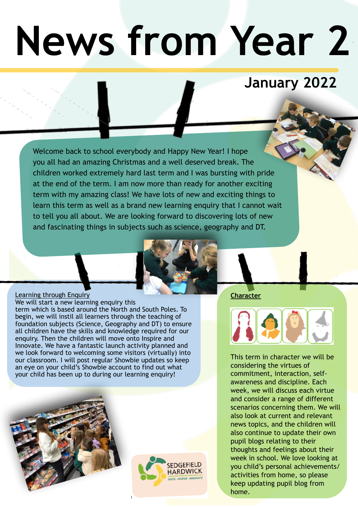# **News from Year 2**

## **January 2022**

Welcome back to school everybody and Happy New Year! I hope you all had an amazing Christmas and a well deserved break. The children worked extremely hard last term and I was bursting with pride at the end of the term. I am now more than ready for another exciting term with my amazing class! We have lots of new and exciting things to learn this term as well as a brand new learning enquiry that I cannot wait to tell you all about. We are looking forward to discovering lots of new and fascinating things in subjects such as science, geography and DT.



#### Learning through Enquiry We will start a new learning enquiry this term which is based around the North and South Poles. To begin, we will instil all learners through the teaching of foundation subjects (Science, Geography and DT) to ensure all children have the skills and knowledge required for our enquiry. Then the children will move onto Inspire and Innovate. We have a fantastic launch activity planned and we look forward to welcoming some visitors (virtually) into our classroom. I will post regular Showbie updates so keep an eye on your child's Showbie account to find out what your child has been up to during our learning enquiry!





**Character**



This term in character we will be considering the virtues of commitment, interaction, selfawareness and discipline. Each week, we will discuss each virtue and consider a range of different scenarios concerning them. We will also look at current and relevant news topics, and the children will also continue to update their own pupil blogs relating to their thoughts and feelings about their week in school. We love looking at you child's personal achievements/ activities from home, so please keep updating pupil blog from home.